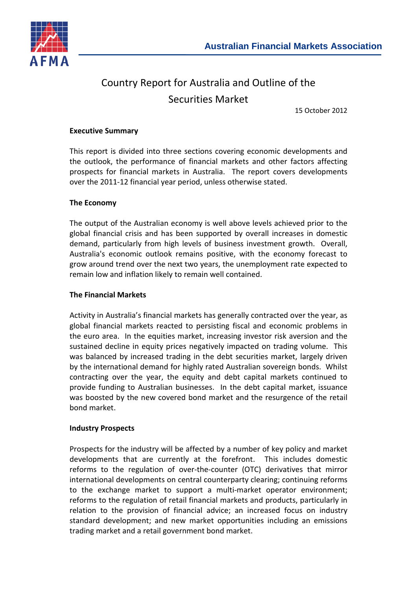

# Country Report for Australia and Outline of the Securities Market

15 October 2012

#### **Executive Summary**

This report is divided into three sections covering economic developments and the outlook, the performance of financial markets and other factors affecting prospects for financial markets in Australia. The report covers developments over the 2011-12 financial year period, unless otherwise stated.

#### **The Economy**

The output of the Australian economy is well above levels achieved prior to the global financial crisis and has been supported by overall increases in domestic demand, particularly from high levels of business investment growth. Overall, Australia's economic outlook remains positive, with the economy forecast to grow around trend over the next two years, the unemployment rate expected to remain low and inflation likely to remain well contained.

#### **The Financial Markets**

Activity in Australia's financial markets has generally contracted over the year, as global financial markets reacted to persisting fiscal and economic problems in the euro area. In the equities market, increasing investor risk aversion and the sustained decline in equity prices negatively impacted on trading volume. This was balanced by increased trading in the debt securities market, largely driven by the international demand for highly rated Australian sovereign bonds. Whilst contracting over the year, the equity and debt capital markets continued to provide funding to Australian businesses. In the debt capital market, issuance was boosted by the new covered bond market and the resurgence of the retail bond market.

#### **Industry Prospects**

Prospects for the industry will be affected by a number of key policy and market developments that are currently at the forefront. This includes domestic reforms to the regulation of over-the-counter (OTC) derivatives that mirror international developments on central counterparty clearing; continuing reforms to the exchange market to support a multi-market operator environment; reforms to the regulation of retail financial markets and products, particularly in relation to the provision of financial advice; an increased focus on industry standard development; and new market opportunities including an emissions trading market and a retail government bond market.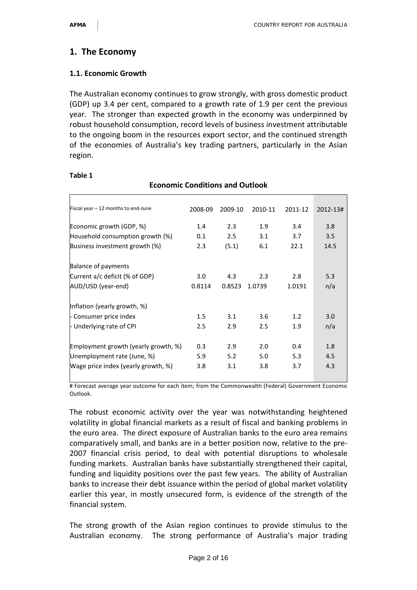# **1. The Economy**

## **1.1. Economic Growth**

The Australian economy continues to grow strongly, with gross domestic product (GDP) up 3.4 per cent, compared to a growth rate of 1.9 per cent the previous year. The stronger than expected growth in the economy was underpinned by robust household consumption, record levels of business investment attributable to the ongoing boom in the resources export sector, and the continued strength of the economies of Australia's key trading partners, particularly in the Asian region.

**Economic Conditions and Outlook**

| Fiscal year - 12 months to end-June  | 2008-09 | 2009-10 | 2010-11 | 2011-12 | 2012-13# |
|--------------------------------------|---------|---------|---------|---------|----------|
| Economic growth (GDP, %)             | 1.4     | 2.3     | 1.9     | 3.4     | 3.8      |
| Household consumption growth (%)     | 0.1     | 2.5     | 3.1     | 3.7     | 3.5      |
| Business investment growth (%)       | 2.3     | (5.1)   | 6.1     | 22.1    | 14.5     |
| <b>Balance of payments</b>           |         |         |         |         |          |
| Current a/c deficit (% of GDP)       | 3.0     | 4.3     | 2.3     | 2.8     | 5.3      |
| AUD/USD (year-end)                   | 0.8114  | 0.8523  | 1.0739  | 1.0191  | n/a      |
| Inflation (yearly growth, %)         |         |         |         |         |          |
| - Consumer price index               | 1.5     | 3.1     | 3.6     | 1.2     | 3.0      |
| Underlying rate of CPI               | 2.5     | 2.9     | 2.5     | 1.9     | n/a      |
| Employment growth (yearly growth, %) | 0.3     | 2.9     | 2.0     | 0.4     | 1.8      |
| Unemployment rate (June, %)          | 5.9     | 5.2     | 5.0     | 5.3     | 4.5      |
| Wage price index (yearly growth, %)  | 3.8     | 3.1     | 3.8     | 3.7     | 4.3      |

#### **Table 1**

# Forecast average year outcome for each item; from the Commonwealth (Federal) Government Economic Outlook.

The robust economic activity over the year was notwithstanding heightened volatility in global financial markets as a result of fiscal and banking problems in the euro area. The direct exposure of Australian banks to the euro area remains comparatively small, and banks are in a better position now, relative to the pre-2007 financial crisis period, to deal with potential disruptions to wholesale funding markets. Australian banks have substantially strengthened their capital, funding and liquidity positions over the past few years. The ability of Australian banks to increase their debt issuance within the period of global market volatility earlier this year, in mostly unsecured form, is evidence of the strength of the financial system.

The strong growth of the Asian region continues to provide stimulus to the Australian economy. The strong performance of Australia's major trading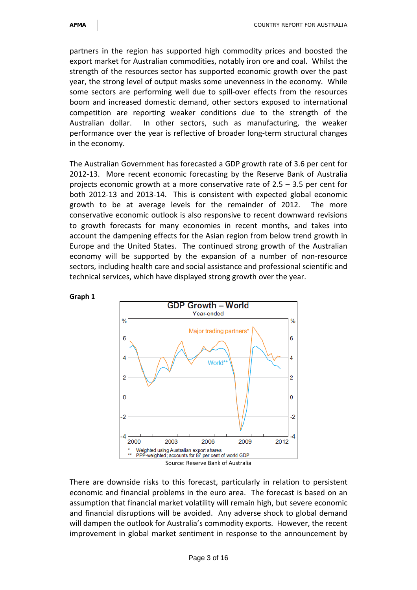partners in the region has supported high commodity prices and boosted the export market for Australian commodities, notably iron ore and coal. Whilst the strength of the resources sector has supported economic growth over the past year, the strong level of output masks some unevenness in the economy. While some sectors are performing well due to spill-over effects from the resources boom and increased domestic demand, other sectors exposed to international competition are reporting weaker conditions due to the strength of the Australian dollar. In other sectors, such as manufacturing, the weaker performance over the year is reflective of broader long-term structural changes in the economy.

The Australian Government has forecasted a GDP growth rate of 3.6 per cent for 2012-13. More recent economic forecasting by the Reserve Bank of Australia projects economic growth at a more conservative rate of 2.5 – 3.5 per cent for both 2012-13 and 2013-14. This is consistent with expected global economic growth to be at average levels for the remainder of 2012. The more conservative economic outlook is also responsive to recent downward revisions to growth forecasts for many economies in recent months, and takes into account the dampening effects for the Asian region from below trend growth in Europe and the United States. The continued strong growth of the Australian economy will be supported by the expansion of a number of non-resource sectors, including health care and social assistance and professional scientific and technical services, which have displayed strong growth over the year.



There are downside risks to this forecast, particularly in relation to persistent economic and financial problems in the euro area. The forecast is based on an assumption that financial market volatility will remain high, but severe economic and financial disruptions will be avoided. Any adverse shock to global demand will dampen the outlook for Australia's commodity exports. However, the recent improvement in global market sentiment in response to the announcement by

#### **Graph 1**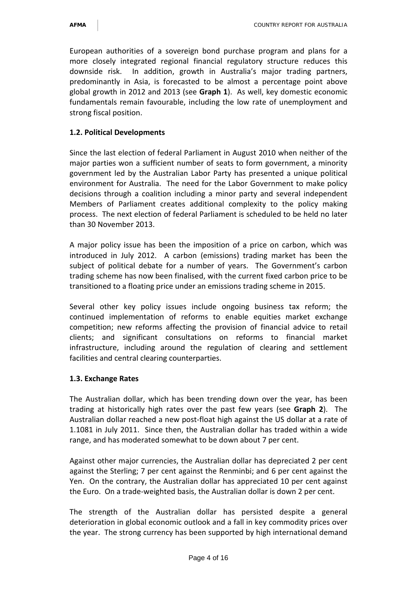European authorities of a sovereign bond purchase program and plans for a more closely integrated regional financial regulatory structure reduces this downside risk. In addition, growth in Australia's major trading partners, predominantly in Asia, is forecasted to be almost a percentage point above global growth in 2012 and 2013 (see **Graph 1**). As well, key domestic economic fundamentals remain favourable, including the low rate of unemployment and strong fiscal position.

## **1.2. Political Developments**

Since the last election of federal Parliament in August 2010 when neither of the major parties won a sufficient number of seats to form government, a minority government led by the Australian Labor Party has presented a unique political environment for Australia. The need for the Labor Government to make policy decisions through a coalition including a minor party and several independent Members of Parliament creates additional complexity to the policy making process. The next election of federal Parliament is scheduled to be held no later than 30 November 2013.

A major policy issue has been the imposition of a price on carbon, which was introduced in July 2012. A carbon (emissions) trading market has been the subject of political debate for a number of years. The Government's carbon trading scheme has now been finalised, with the current fixed carbon price to be transitioned to a floating price under an emissions trading scheme in 2015.

Several other key policy issues include ongoing business tax reform; the continued implementation of reforms to enable equities market exchange competition; new reforms affecting the provision of financial advice to retail clients; and significant consultations on reforms to financial market infrastructure, including around the regulation of clearing and settlement facilities and central clearing counterparties.

## **1.3. Exchange Rates**

The Australian dollar, which has been trending down over the year, has been trading at historically high rates over the past few years (see **Graph 2**). The Australian dollar reached a new post-float high against the US dollar at a rate of 1.1081 in July 2011. Since then, the Australian dollar has traded within a wide range, and has moderated somewhat to be down about 7 per cent.

Against other major currencies, the Australian dollar has depreciated 2 per cent against the Sterling; 7 per cent against the Renminbi; and 6 per cent against the Yen. On the contrary, the Australian dollar has appreciated 10 per cent against the Euro. On a trade-weighted basis, the Australian dollar is down 2 per cent.

The strength of the Australian dollar has persisted despite a general deterioration in global economic outlook and a fall in key commodity prices over the year. The strong currency has been supported by high international demand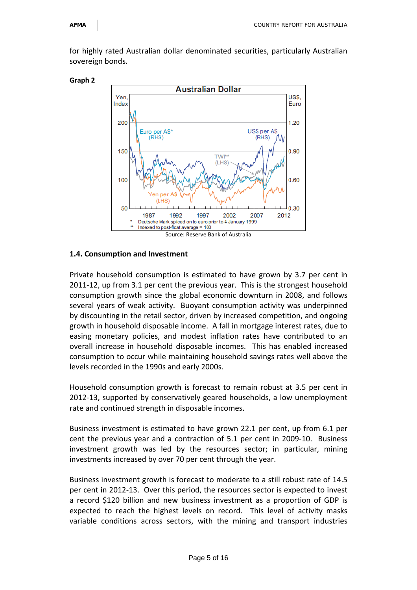for highly rated Australian dollar denominated securities, particularly Australian sovereign bonds.



#### **1.4. Consumption and Investment**

Private household consumption is estimated to have grown by 3.7 per cent in 2011-12, up from 3.1 per cent the previous year. This is the strongest household consumption growth since the global economic downturn in 2008, and follows several years of weak activity. Buoyant consumption activity was underpinned by discounting in the retail sector, driven by increased competition, and ongoing growth in household disposable income. A fall in mortgage interest rates, due to easing monetary policies, and modest inflation rates have contributed to an overall increase in household disposable incomes. This has enabled increased consumption to occur while maintaining household savings rates well above the levels recorded in the 1990s and early 2000s.

Household consumption growth is forecast to remain robust at 3.5 per cent in 2012-13, supported by conservatively geared households, a low unemployment rate and continued strength in disposable incomes.

Business investment is estimated to have grown 22.1 per cent, up from 6.1 per cent the previous year and a contraction of 5.1 per cent in 2009-10. Business investment growth was led by the resources sector; in particular, mining investments increased by over 70 per cent through the year.

Business investment growth is forecast to moderate to a still robust rate of 14.5 per cent in 2012-13. Over this period, the resources sector is expected to invest a record \$120 billion and new business investment as a proportion of GDP is expected to reach the highest levels on record. This level of activity masks variable conditions across sectors, with the mining and transport industries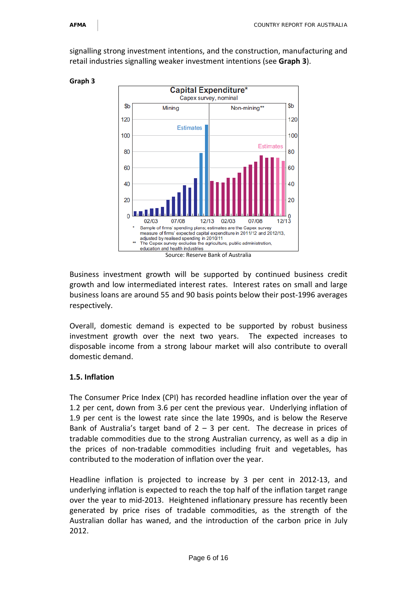signalling strong investment intentions, and the construction, manufacturing and retail industries signalling weaker investment intentions (see **Graph 3**).



**Graph 3**

Business investment growth will be supported by continued business credit growth and low intermediated interest rates. Interest rates on small and large business loans are around 55 and 90 basis points below their post-1996 averages respectively.

Overall, domestic demand is expected to be supported by robust business investment growth over the next two years. The expected increases to disposable income from a strong labour market will also contribute to overall domestic demand.

#### **1.5. Inflation**

The Consumer Price Index (CPI) has recorded headline inflation over the year of 1.2 per cent, down from 3.6 per cent the previous year. Underlying inflation of 1.9 per cent is the lowest rate since the late 1990s, and is below the Reserve Bank of Australia's target band of  $2 - 3$  per cent. The decrease in prices of tradable commodities due to the strong Australian currency, as well as a dip in the prices of non-tradable commodities including fruit and vegetables, has contributed to the moderation of inflation over the year.

Headline inflation is projected to increase by 3 per cent in 2012-13, and underlying inflation is expected to reach the top half of the inflation target range over the year to mid-2013. Heightened inflationary pressure has recently been generated by price rises of tradable commodities, as the strength of the Australian dollar has waned, and the introduction of the carbon price in July 2012.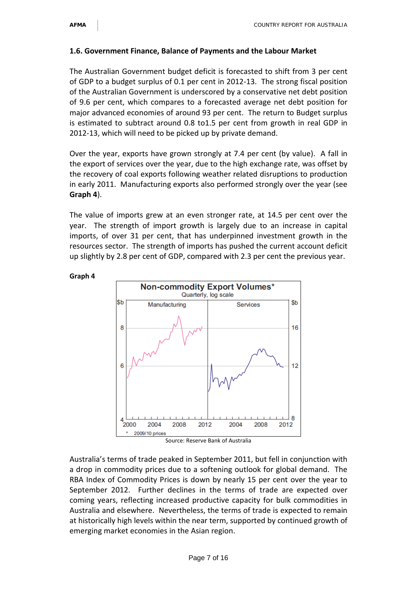#### **1.6. Government Finance, Balance of Payments and the Labour Market**

The Australian Government budget deficit is forecasted to shift from 3 per cent of GDP to a budget surplus of 0.1 per cent in 2012-13. The strong fiscal position of the Australian Government is underscored by a conservative net debt position of 9.6 per cent, which compares to a forecasted average net debt position for major advanced economies of around 93 per cent. The return to Budget surplus is estimated to subtract around 0.8 to1.5 per cent from growth in real GDP in 2012-13, which will need to be picked up by private demand.

Over the year, exports have grown strongly at 7.4 per cent (by value). A fall in the export of services over the year, due to the high exchange rate, was offset by the recovery of coal exports following weather related disruptions to production in early 2011. Manufacturing exports also performed strongly over the year (see **Graph 4**).

The value of imports grew at an even stronger rate, at 14.5 per cent over the year. The strength of import growth is largely due to an increase in capital imports, of over 31 per cent, that has underpinned investment growth in the resources sector. The strength of imports has pushed the current account deficit up slightly by 2.8 per cent of GDP, compared with 2.3 per cent the previous year.



#### **Graph 4**

Source: Reserve Bank of Australia

Australia's terms of trade peaked in September 2011, but fell in conjunction with a drop in commodity prices due to a softening outlook for global demand. The RBA Index of Commodity Prices is down by nearly 15 per cent over the year to September 2012. Further declines in the terms of trade are expected over coming years, reflecting increased productive capacity for bulk commodities in Australia and elsewhere. Nevertheless, the terms of trade is expected to remain at historically high levels within the near term, supported by continued growth of emerging market economies in the Asian region.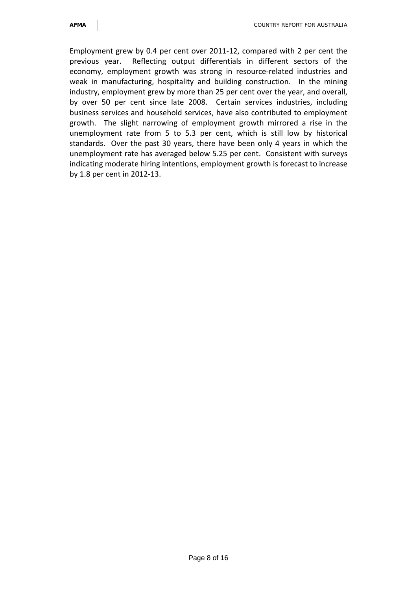Employment grew by 0.4 per cent over 2011-12, compared with 2 per cent the previous year. Reflecting output differentials in different sectors of the economy, employment growth was strong in resource-related industries and weak in manufacturing, hospitality and building construction. In the mining industry, employment grew by more than 25 per cent over the year, and overall, by over 50 per cent since late 2008. Certain services industries, including business services and household services, have also contributed to employment growth. The slight narrowing of employment growth mirrored a rise in the unemployment rate from 5 to 5.3 per cent, which is still low by historical standards. Over the past 30 years, there have been only 4 years in which the unemployment rate has averaged below 5.25 per cent. Consistent with surveys indicating moderate hiring intentions, employment growth is forecast to increase by 1.8 per cent in 2012-13.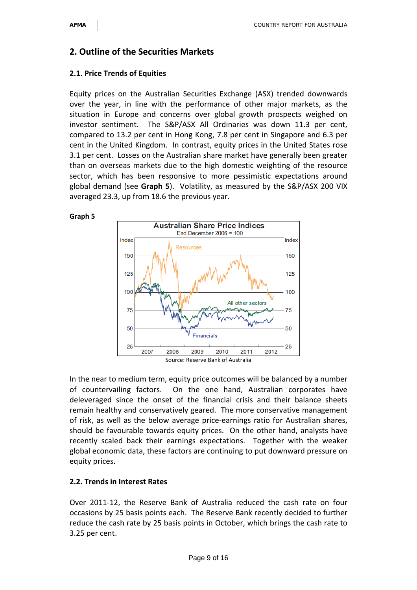# **2. Outline of the Securities Markets**

#### **2.1. Price Trends of Equities**

Equity prices on the Australian Securities Exchange (ASX) trended downwards over the year, in line with the performance of other major markets, as the situation in Europe and concerns over global growth prospects weighed on investor sentiment. The S&P/ASX All Ordinaries was down 11.3 per cent, compared to 13.2 per cent in Hong Kong, 7.8 per cent in Singapore and 6.3 per cent in the United Kingdom. In contrast, equity prices in the United States rose 3.1 per cent. Losses on the Australian share market have generally been greater than on overseas markets due to the high domestic weighting of the resource sector, which has been responsive to more pessimistic expectations around global demand (see **Graph 5**). Volatility, as measured by the S&P/ASX 200 VIX averaged 23.3, up from 18.6 the previous year.

#### **Graph 5**



In the near to medium term, equity price outcomes will be balanced by a number of countervailing factors. On the one hand, Australian corporates have deleveraged since the onset of the financial crisis and their balance sheets remain healthy and conservatively geared. The more conservative management of risk, as well as the below average price-earnings ratio for Australian shares, should be favourable towards equity prices. On the other hand, analysts have recently scaled back their earnings expectations. Together with the weaker global economic data, these factors are continuing to put downward pressure on equity prices.

#### **2.2. Trends in Interest Rates**

Over 2011-12, the Reserve Bank of Australia reduced the cash rate on four occasions by 25 basis points each. The Reserve Bank recently decided to further reduce the cash rate by 25 basis points in October, which brings the cash rate to 3.25 per cent.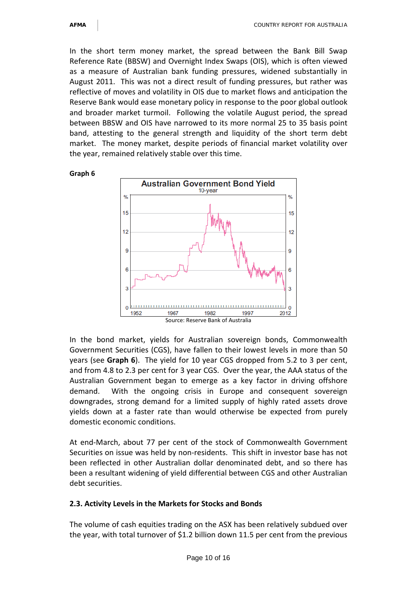In the short term money market, the spread between the Bank Bill Swap Reference Rate (BBSW) and Overnight Index Swaps (OIS), which is often viewed as a measure of Australian bank funding pressures, widened substantially in August 2011. This was not a direct result of funding pressures, but rather was reflective of moves and volatility in OIS due to market flows and anticipation the Reserve Bank would ease monetary policy in response to the poor global outlook and broader market turmoil. Following the volatile August period, the spread between BBSW and OIS have narrowed to its more normal 25 to 35 basis point band, attesting to the general strength and liquidity of the short term debt market. The money market, despite periods of financial market volatility over the year, remained relatively stable over this time.



In the bond market, yields for Australian sovereign bonds, Commonwealth Government Securities (CGS), have fallen to their lowest levels in more than 50 years (see **Graph 6**). The yield for 10 year CGS dropped from 5.2 to 3 per cent, and from 4.8 to 2.3 per cent for 3 year CGS. Over the year, the AAA status of the Australian Government began to emerge as a key factor in driving offshore demand. With the ongoing crisis in Europe and consequent sovereign downgrades, strong demand for a limited supply of highly rated assets drove yields down at a faster rate than would otherwise be expected from purely domestic economic conditions.

At end-March, about 77 per cent of the stock of Commonwealth Government Securities on issue was held by non-residents. This shift in investor base has not been reflected in other Australian dollar denominated debt, and so there has been a resultant widening of yield differential between CGS and other Australian debt securities.

#### **2.3. Activity Levels in the Markets for Stocks and Bonds**

The volume of cash equities trading on the ASX has been relatively subdued over the year, with total turnover of \$1.2 billion down 11.5 per cent from the previous

**Graph 6**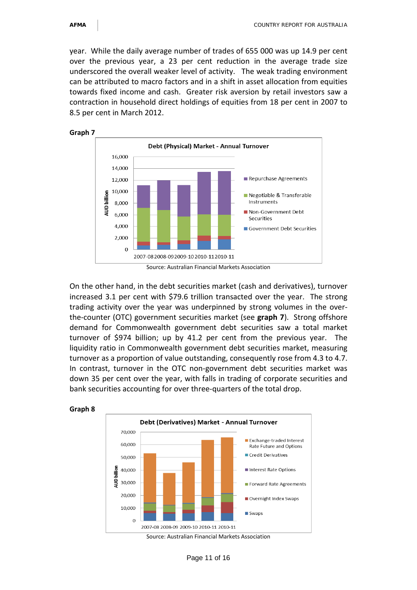**Graph 8**

year. While the daily average number of trades of 655 000 was up 14.9 per cent over the previous year, a 23 per cent reduction in the average trade size underscored the overall weaker level of activity. The weak trading environment can be attributed to macro factors and in a shift in asset allocation from equities towards fixed income and cash. Greater risk aversion by retail investors saw a contraction in household direct holdings of equities from 18 per cent in 2007 to 8.5 per cent in March 2012.



Source: Australian Financial Markets Association

On the other hand, in the debt securities market (cash and derivatives), turnover increased 3.1 per cent with \$79.6 trillion transacted over the year. The strong trading activity over the year was underpinned by strong volumes in the overthe-counter (OTC) government securities market (see **graph 7**). Strong offshore demand for Commonwealth government debt securities saw a total market turnover of \$974 billion; up by 41.2 per cent from the previous year. The liquidity ratio in Commonwealth government debt securities market, measuring turnover as a proportion of value outstanding, consequently rose from 4.3 to 4.7. In contrast, turnover in the OTC non-government debt securities market was down 35 per cent over the year, with falls in trading of corporate securities and bank securities accounting for over three-quarters of the total drop.



Source: Australian Financial Markets Association

Page 11 of 16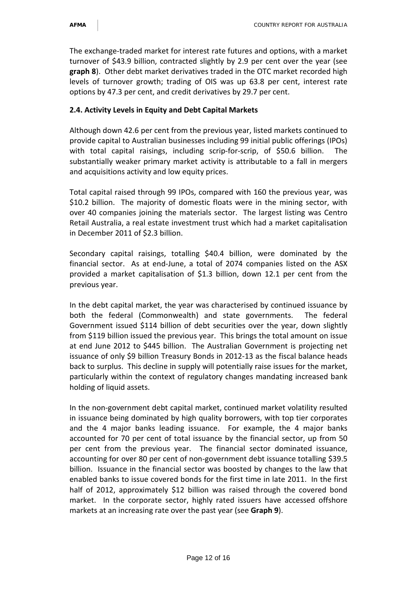The exchange-traded market for interest rate futures and options, with a market turnover of \$43.9 billion, contracted slightly by 2.9 per cent over the year (see **graph 8**). Other debt market derivatives traded in the OTC market recorded high levels of turnover growth; trading of OIS was up 63.8 per cent, interest rate options by 47.3 per cent, and credit derivatives by 29.7 per cent.

#### **2.4. Activity Levels in Equity and Debt Capital Markets**

Although down 42.6 per cent from the previous year, listed markets continued to provide capital to Australian businesses including 99 initial public offerings (IPOs) with total capital raisings, including scrip-for-scrip, of \$50.6 billion. substantially weaker primary market activity is attributable to a fall in mergers and acquisitions activity and low equity prices.

Total capital raised through 99 IPOs, compared with 160 the previous year, was \$10.2 billion. The majority of domestic floats were in the mining sector, with over 40 companies joining the materials sector. The largest listing was Centro Retail Australia, a real estate investment trust which had a market capitalisation in December 2011 of \$2.3 billion.

Secondary capital raisings, totalling \$40.4 billion, were dominated by the financial sector. As at end-June, a total of 2074 companies listed on the ASX provided a market capitalisation of \$1.3 billion, down 12.1 per cent from the previous year.

In the debt capital market, the year was characterised by continued issuance by both the federal (Commonwealth) and state governments. The federal Government issued \$114 billion of debt securities over the year, down slightly from \$119 billion issued the previous year. This brings the total amount on issue at end June 2012 to \$445 billion. The Australian Government is projecting net issuance of only \$9 billion Treasury Bonds in 2012-13 as the fiscal balance heads back to surplus. This decline in supply will potentially raise issues for the market, particularly within the context of regulatory changes mandating increased bank holding of liquid assets.

In the non-government debt capital market, continued market volatility resulted in issuance being dominated by high quality borrowers, with top tier corporates and the 4 major banks leading issuance. For example, the 4 major banks accounted for 70 per cent of total issuance by the financial sector, up from 50 per cent from the previous year. The financial sector dominated issuance, accounting for over 80 per cent of non-government debt issuance totalling \$39.5 billion. Issuance in the financial sector was boosted by changes to the law that enabled banks to issue covered bonds for the first time in late 2011. In the first half of 2012, approximately \$12 billion was raised through the covered bond market. In the corporate sector, highly rated issuers have accessed offshore markets at an increasing rate over the past year (see **Graph 9**).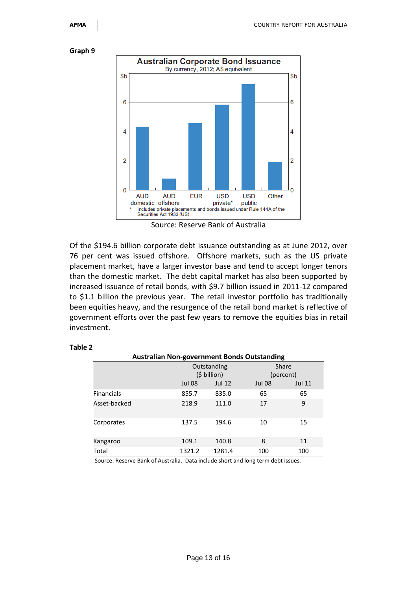#### **Graph 9**



Source: Reserve Bank of Australia

Of the \$194.6 billion corporate debt issuance outstanding as at June 2012, over 76 per cent was issued offshore. Offshore markets, such as the US private placement market, have a larger investor base and tend to accept longer tenors than the domestic market. The debt capital market has also been supported by increased issuance of retail bonds, with \$9.7 billion issued in 2011-12 compared to \$1.1 billion the previous year. The retail investor portfolio has traditionally been equities heavy, and the resurgence of the retail bond market is reflective of government efforts over the past few years to remove the equities bias in retail investment.

#### **Table 2**

| <b>Australian Non-government Bonds Outstanding</b> |  |               |               |               |               |  |  |  |  |
|----------------------------------------------------|--|---------------|---------------|---------------|---------------|--|--|--|--|
|                                                    |  |               | Outstanding   | Share         |               |  |  |  |  |
|                                                    |  | (\$ billion)  |               | (percent)     |               |  |  |  |  |
|                                                    |  | <b>Jul 08</b> | <b>Jul 12</b> | <b>Jul 08</b> | <b>Jul 11</b> |  |  |  |  |
| <b>Financials</b>                                  |  | 855.7         | 835.0         | 65            | 65            |  |  |  |  |
| Asset-backed                                       |  | 218.9         | 111.0         | 17            | 9             |  |  |  |  |
| Corporates                                         |  | 137.5         | 194.6         | 10            | 15            |  |  |  |  |
| Kangaroo                                           |  | 109.1         | 140.8         | 8             | 11            |  |  |  |  |
| Total                                              |  | 1321.2        | 1281.4        | 100           | 100           |  |  |  |  |

Source: Reserve Bank of Australia. Data include short and long term debt issues.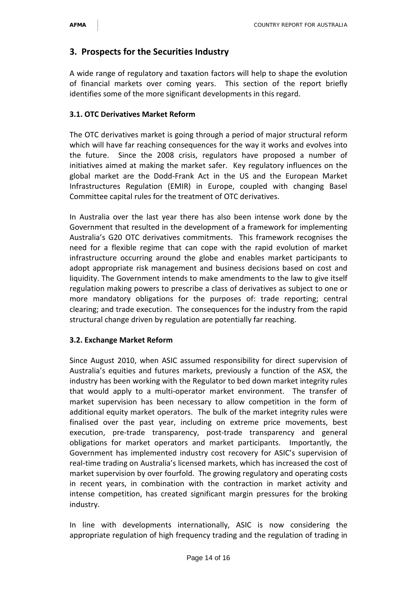# **3. Prospects for the Securities Industry**

A wide range of regulatory and taxation factors will help to shape the evolution of financial markets over coming years. This section of the report briefly identifies some of the more significant developments in this regard.

#### **3.1. OTC Derivatives Market Reform**

The OTC derivatives market is going through a period of major structural reform which will have far reaching consequences for the way it works and evolves into the future. Since the 2008 crisis, regulators have proposed a number of initiatives aimed at making the market safer. Key regulatory influences on the global market are the Dodd-Frank Act in the US and the European Market Infrastructures Regulation (EMIR) in Europe, coupled with changing Basel Committee capital rules for the treatment of OTC derivatives.

In Australia over the last year there has also been intense work done by the Government that resulted in the development of a framework for implementing Australia's G20 OTC derivatives commitments. This framework recognises the need for a flexible regime that can cope with the rapid evolution of market infrastructure occurring around the globe and enables market participants to adopt appropriate risk management and business decisions based on cost and liquidity. The Government intends to make amendments to the law to give itself regulation making powers to prescribe a class of derivatives as subject to one or more mandatory obligations for the purposes of: trade reporting; central clearing; and trade execution. The consequences for the industry from the rapid structural change driven by regulation are potentially far reaching.

#### **3.2. Exchange Market Reform**

Since August 2010, when ASIC assumed responsibility for direct supervision of Australia's equities and futures markets, previously a function of the ASX, the industry has been working with the Regulator to bed down market integrity rules that would apply to a multi-operator market environment. The transfer of market supervision has been necessary to allow competition in the form of additional equity market operators. The bulk of the market integrity rules were finalised over the past year, including on extreme price movements, best execution, pre-trade transparency, post-trade transparency and general obligations for market operators and market participants. Importantly, the Government has implemented industry cost recovery for ASIC's supervision of real-time trading on Australia's licensed markets, which has increased the cost of market supervision by over fourfold. The growing regulatory and operating costs in recent years, in combination with the contraction in market activity and intense competition, has created significant margin pressures for the broking industry.

In line with developments internationally, ASIC is now considering the appropriate regulation of high frequency trading and the regulation of trading in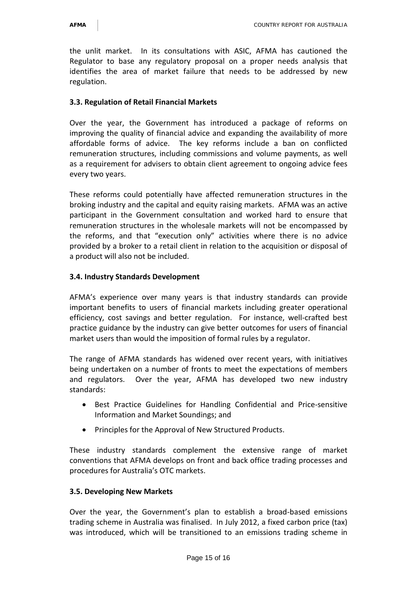the unlit market. In its consultations with ASIC, AFMA has cautioned the Regulator to base any regulatory proposal on a proper needs analysis that identifies the area of market failure that needs to be addressed by new regulation.

#### **3.3. Regulation of Retail Financial Markets**

Over the year, the Government has introduced a package of reforms on improving the quality of financial advice and expanding the availability of more affordable forms of advice. The key reforms include a ban on conflicted remuneration structures, including commissions and volume payments, as well as a requirement for advisers to obtain client agreement to ongoing advice fees every two years.

These reforms could potentially have affected remuneration structures in the broking industry and the capital and equity raising markets. AFMA was an active participant in the Government consultation and worked hard to ensure that remuneration structures in the wholesale markets will not be encompassed by the reforms, and that "execution only" activities where there is no advice provided by a broker to a retail client in relation to the acquisition or disposal of a product will also not be included.

#### **3.4. Industry Standards Development**

AFMA's experience over many years is that industry standards can provide important benefits to users of financial markets including greater operational efficiency, cost savings and better regulation. For instance, well-crafted best practice guidance by the industry can give better outcomes for users of financial market users than would the imposition of formal rules by a regulator.

The range of AFMA standards has widened over recent years, with initiatives being undertaken on a number of fronts to meet the expectations of members and regulators. Over the year, AFMA has developed two new industry standards:

- Best Practice Guidelines for Handling Confidential and Price-sensitive Information and Market Soundings; and
- Principles for the Approval of New Structured Products.

These industry standards complement the extensive range of market conventions that AFMA develops on front and back office trading processes and procedures for Australia's OTC markets.

#### **3.5. Developing New Markets**

Over the year, the Government's plan to establish a broad-based emissions trading scheme in Australia was finalised. In July 2012, a fixed carbon price (tax) was introduced, which will be transitioned to an emissions trading scheme in